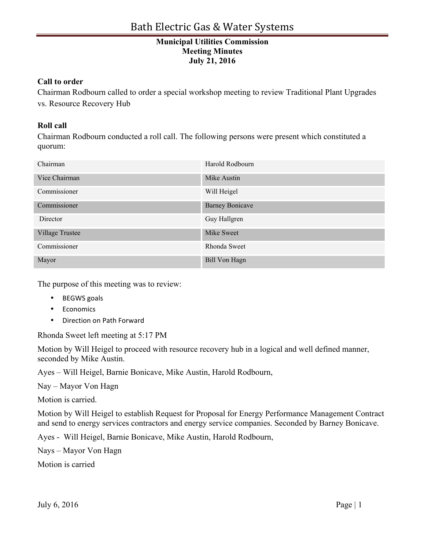## **Municipal Utilities Commission Meeting Minutes July 21, 2016**

## **Call to order**

Chairman Rodbourn called to order a special workshop meeting to review Traditional Plant Upgrades vs. Resource Recovery Hub

## **Roll call**

Chairman Rodbourn conducted a roll call. The following persons were present which constituted a quorum:

| Chairman        | Harold Rodbourn        |
|-----------------|------------------------|
| Vice Chairman   | Mike Austin            |
| Commissioner    | Will Heigel            |
| Commissioner    | <b>Barney Bonicave</b> |
| Director        | Guy Hallgren           |
| Village Trustee | Mike Sweet             |
| Commissioner    | Rhonda Sweet           |
| Mayor           | <b>Bill Von Hagn</b>   |

The purpose of this meeting was to review:

- BEGWS goals
- Economics
- Direction on Path Forward

Rhonda Sweet left meeting at 5:17 PM

Motion by Will Heigel to proceed with resource recovery hub in a logical and well defined manner, seconded by Mike Austin.

Ayes – Will Heigel, Barnie Bonicave, Mike Austin, Harold Rodbourn,

Nay – Mayor Von Hagn

Motion is carried.

Motion by Will Heigel to establish Request for Proposal for Energy Performance Management Contract and send to energy services contractors and energy service companies. Seconded by Barney Bonicave.

Ayes - Will Heigel, Barnie Bonicave, Mike Austin, Harold Rodbourn,

Nays – Mayor Von Hagn

Motion is carried